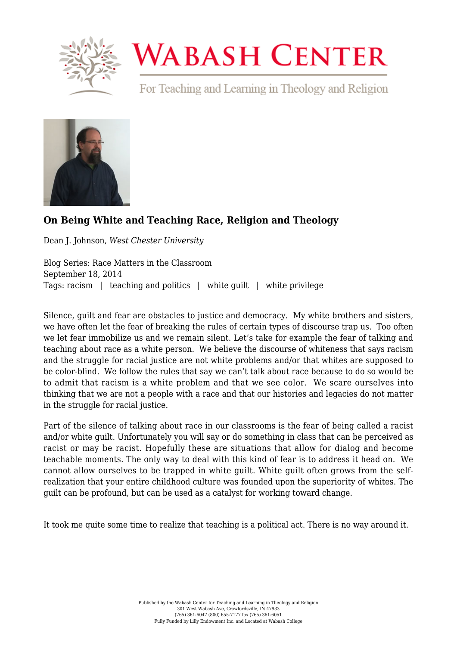

## **WABASH CENTER**

For Teaching and Learning in Theology and Religion



## **[On Being White and Teaching Race, Religion and Theology](https://www.wabashcenter.wabash.edu/2014/09/on-being-white-and-teaching-race-religion-and-theology/)**

Dean J. Johnson, *West Chester University*

Blog Series: Race Matters in the Classroom September 18, 2014 Tags: racism | teaching and politics | white quilt | white privilege

Silence, guilt and fear are obstacles to justice and democracy. My white brothers and sisters, we have often let the fear of breaking the rules of certain types of discourse trap us. Too often we let fear immobilize us and we remain silent. Let's take for example the fear of talking and teaching about race as a white person. We believe the discourse of whiteness that says racism and the struggle for racial justice are not white problems and/or that whites are supposed to be color-blind. We follow the rules that say we can't talk about race because to do so would be to admit that racism is a white problem and that we see color. We scare ourselves into thinking that we are not a people with a race and that our histories and legacies do not matter in the struggle for racial justice.

Part of the silence of talking about race in our classrooms is the fear of being called a racist and/or white guilt. Unfortunately you will say or do something in class that can be perceived as racist or may be racist. Hopefully these are situations that allow for dialog and become teachable moments. The only way to deal with this kind of fear is to address it head on. We cannot allow ourselves to be trapped in white guilt. White guilt often grows from the selfrealization that your entire childhood culture was founded upon the superiority of whites. The guilt can be profound, but can be used as a catalyst for working toward change.

It took me quite some time to realize that teaching is a political act. There is no way around it.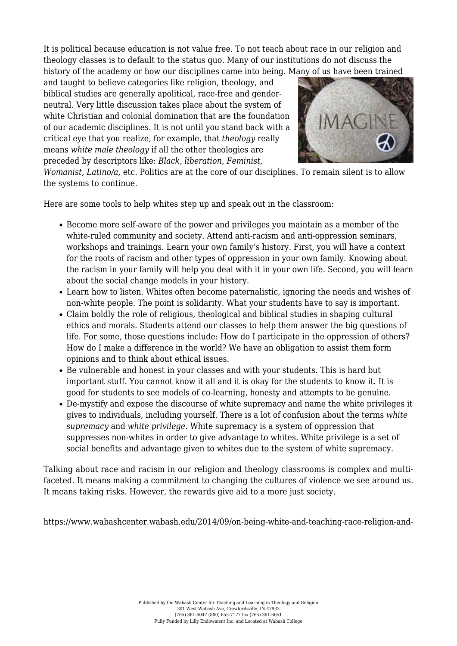It is political because education is not value free. To not teach about race in our religion and theology classes is to default to the status quo. Many of our institutions do not discuss the history of the academy or how our disciplines came into being. Many of us have been trained

and taught to believe categories like religion, theology, and biblical studies are generally apolitical, race-free and genderneutral. Very little discussion takes place about the system of white Christian and colonial domination that are the foundation of our academic disciplines. It is not until you stand back with a critical eye that you realize, for example, that *theology* really means *white male theology* if all the other theologies are preceded by descriptors like: *Black, liberation, Feminist,*



*Womanist, Latino/a,* etc. Politics are at the core of our disciplines. To remain silent is to allow the systems to continue.

Here are some tools to help whites step up and speak out in the classroom:

- Become more self-aware of the power and privileges you maintain as a member of the white-ruled community and society. Attend anti-racism and anti-oppression seminars, workshops and trainings. Learn your own family's history. First, you will have a context for the roots of racism and other types of oppression in your own family. Knowing about the racism in your family will help you deal with it in your own life. Second, you will learn about the social change models in your history.
- Learn how to listen. Whites often become paternalistic, ignoring the needs and wishes of non-white people. The point is solidarity. What your students have to say is important.
- Claim boldly the role of religious, theological and biblical studies in shaping cultural ethics and morals. Students attend our classes to help them answer the big questions of life. For some, those questions include: How do I participate in the oppression of others? How do I make a difference in the world? We have an obligation to assist them form opinions and to think about ethical issues.
- Be vulnerable and honest in your classes and with your students. This is hard but important stuff. You cannot know it all and it is okay for the students to know it. It is good for students to see models of co-learning, honesty and attempts to be genuine.
- De-mystify and expose the discourse of white supremacy and name the white privileges it gives to individuals, including yourself. There is a lot of confusion about the terms *white supremacy* and *white privilege*. White supremacy is a system of oppression that suppresses non-whites in order to give advantage to whites. White privilege is a set of social benefits and advantage given to whites due to the system of white supremacy.

Talking about race and racism in our religion and theology classrooms is complex and multifaceted. It means making a commitment to changing the cultures of violence we see around us. It means taking risks. However, the rewards give aid to a more just society.

https://www.wabashcenter.wabash.edu/2014/09/on-being-white-and-teaching-race-religion-and-